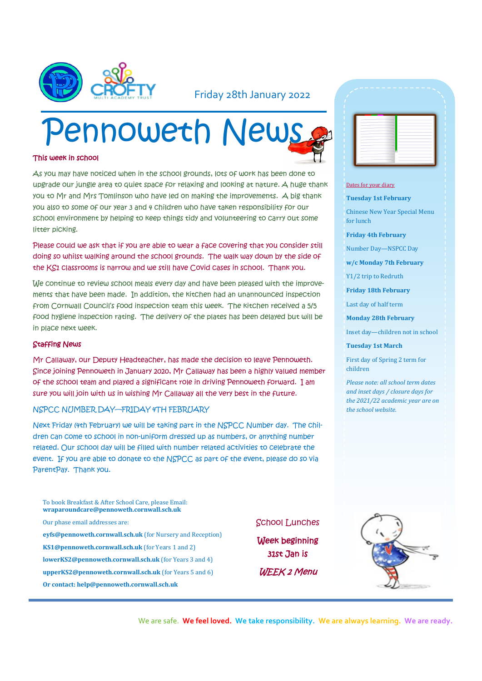

#### Friday 28th January 2022

# Pennoweth News

#### This week in school

As you may have noticed when in the school grounds, lots of work has been done to upgrade our jungle area to quiet space for relaxing and looking at nature. A huge thank you to Mr and Mrs Tomlinson who have led on making the improvements. A big thank you also to some of our year 3 and 4 children who have taken responsibility for our school environment by helping to keep things tidy and volunteering to carry out some litter picking.

Please could we ask that if you are able to wear a face covering that you consider still doing so whilst walking around the school grounds. The walk way down by the side of the KS1 classrooms is narrow and we still have Covid cases in school. Thank you.

We continue to review school meals every day and have been pleased with the improvements that have been made. In addition, the kitchen had an unannounced inspection from Cornwall Council's food inspection team this week. The kitchen received a 5/5 food hygiene inspection rating. The delivery of the plates has been delayed but will be in place next week.

#### Staffing News

Mr Callaway, our Deputy Headteacher, has made the decision to leave Pennoweth. Since joining Pennoweth in January 2020, Mr Callaway has been a highly valued member of the school team and played a significant role in driving Pennoweth forward. I am sure you will join with us in wishing Mr Callaway all the very best in the future.

#### NSPCC NUMBER DAY—FRIDAY 4TH FEBRUARY

Next Friday (4th February) we will be taking part in the NSPCC Number day. The children can come to school in non-uniform dressed up as numbers, or anything number related. Our school day will be filled with number related activities to celebrate the event. If you are able to donate to the NSPCC as part of the event, please do so via ParentPay. Thank you.

- To book Breakfast & After School Care, please Email: **wraparoundcare@pennoweth.cornwall.sch.uk** Our phase email addresses are: **eyfs@pennoweth.cornwall.sch.uk** (for Nursery and Reception) **KS1@pennoweth.cornwall.sch.uk** (for Years 1 and 2) **lowerKS2@pennoweth.cornwall.sch.uk** (for Years 3 and 4) **upperKS2@pennoweth.cornwall.sch.uk** (for Years 5 and 6)
- **Or contact: help@pennoweth.cornwall.sch.uk**

School Lunches

Week beginning 31st Jan is WEEK 2 Menu

| اس |              |                          |
|----|--------------|--------------------------|
|    |              |                          |
|    |              |                          |
|    |              |                          |
|    |              |                          |
|    | --           | ÷                        |
|    | - 1          | -                        |
|    | -<br>-       |                          |
|    | - 1<br>-     |                          |
|    | --<br>--     | ۰<br>۰                   |
|    | -            | ۰                        |
|    | -<br>-       |                          |
|    | -<br>-<br>-- | $\overline{\phantom{a}}$ |
|    |              |                          |

#### Dates for your diary

**Tuesday 1st February**

Chinese New Year Special Menu for lunch

**Friday 4th February**

Number Day—NSPCC Day

**w/c Monday 7th February**

Y1/2 trip to Redruth

**Friday 18th February**

Last day of half term

**Monday 28th February**

Inset day—children not in school

**Tuesday 1st March**

First day of Spring 2 term for children

*Please note: all school term dates and inset days / closure days for the 2021/22 academic year are on the school website.* 



We are safe. **We feel loved. We take responsibility. We are always learning. We are ready.**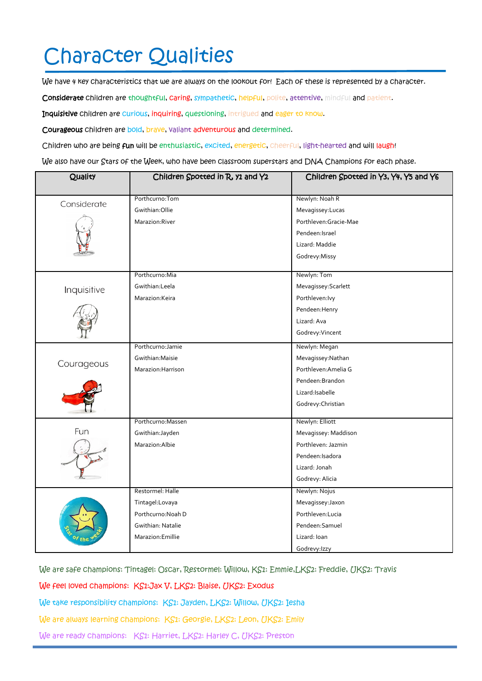## Character Qualities

We have 4 key characteristics that we are always on the lookout for! Each of these is represented by a character.

Considerate children are thoughtful, caring, sympathetic, helpful, polite, attentive, mindful and patient.

Inquisitive children are curious, inquiring, questioning, intrigued and eager to know.

Courageous children are bold, brave, valiant adventurous and determined.

Children who are being fun will be enthusiastic, excited, energetic, cheerful, light-hearted and will laugh!

We also have our Stars of the Week, who have been classroom superstars and DNA Champions for each phase.

| Quality     | Children Spotted in R, y1 and Y2 | Children Spotted in Y3, Y4, Y5 and Y6 |
|-------------|----------------------------------|---------------------------------------|
|             |                                  |                                       |
| Considerate | Porthcurno:Tom                   | Newlyn: Noah R                        |
|             | Gwithian: Ollie                  | Mevagissey:Lucas                      |
|             | Marazion:River                   | Porthleven:Gracie-Mae                 |
|             |                                  | Pendeen: Israel                       |
|             |                                  | Lizard: Maddie                        |
|             |                                  | Godrevy:Missy                         |
|             | Porthcurno: Mia                  | Newlyn: Tom                           |
| Inquisitive | Gwithian:Leela                   | Mevagissey: Scarlett                  |
|             | Marazion: Keira                  | Porthleven: lvy                       |
|             |                                  | Pendeen: Henry                        |
|             |                                  | Lizard: Ava                           |
|             |                                  | Godrevy: Vincent                      |
| Courageous  | Porthcurno: Jamie                | Newlyn: Megan                         |
|             | Gwithian: Maisie                 | Mevagissey: Nathan                    |
|             | Marazion: Harrison               | Porthleven: Amelia G                  |
|             |                                  | Pendeen: Brandon                      |
|             |                                  | Lizard: Isabelle                      |
|             |                                  | Godrevy: Christian                    |
|             | Porthcurno: Massen               | Newlyn: Elliott                       |
| Fun         | Gwithian: Jayden                 | Mevagissey: Maddison                  |
|             | Marazion: Albie                  | Porthleven: Jazmin                    |
|             |                                  | Pendeen: Isadora                      |
|             |                                  | Lizard: Jonah                         |
|             |                                  | Godrevy: Alicia                       |
|             | Restormel: Halle                 | Newlyn: Nojus                         |
|             | Tintagel:Lovaya                  | Mevagissey: Jaxon                     |
|             | Porthcurno: Noah D               | Porthleven:Lucia                      |
|             | Gwithian: Natalie                | Pendeen:Samuel                        |
|             | Marazion: Emillie                | Lizard: Ioan                          |
|             |                                  | Godrevy: Izzy                         |

We are safe champions: Tintagel: Oscar, Restormel: Willow, KS1: Emmie,LKS2: Freddie, UKS2: Travis

We feel loved champions: KS1:Jax V, LKS2: Blaise, UKS2: Exodus

We take responsibility champions: KS1: Jayden, LKS2: Willow, UKS2: Iesha

We are always learning champions: KS1: Georgie, LKS2: Leon, UKS2: Emily

We are ready champions: KS1: Harriet, LKS2: Harley C, UKS2: Preston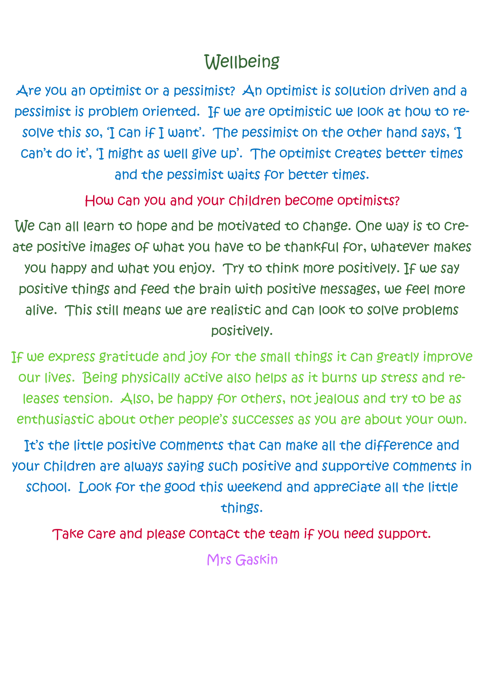### **Wellbeing**

Are you an optimist or a pessimist? An optimist is solution driven and a pessimist is problem oriented. If we are optimistic we look at how to resolve this so, 'I can if I want'. The pessimist on the other hand says, 'I can't do it', 'I might as well give up'. The optimist creates better times and the pessimist waits for better times.

How can you and your children become optimists?

We can all learn to hope and be motivated to change. One way is to create positive images of what you have to be thankful for, whatever makes you happy and what you enjoy. Try to think more positively. If we say positive things and feed the brain with positive messages, we feel more alive. This still means we are realistic and can look to solve problems positively.

If we express gratitude and joy for the small things it can greatly improve our lives. Being physically active also helps as it burns up stress and releases tension. Also, be happy for others, not jealous and try to be as enthusiastic about other people's successes as you are about your own.

It's the little positive comments that can make all the difference and your children are always saying such positive and supportive comments in school. Look for the good this weekend and appreciate all the little things.

Take care and please contact the team if you need support.

Mrs Gaskin